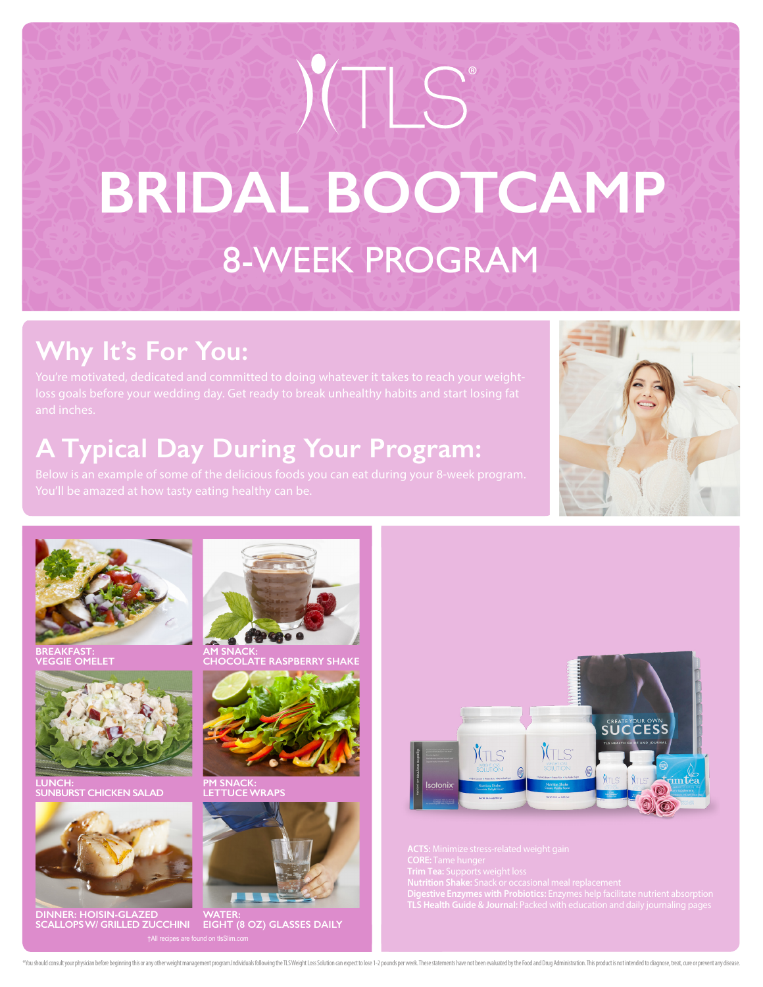# 8-WEEK PROGRAM **BRIDAL BOOTCAMP** BOOK CONTINUES

# **Why It's For You:**

# **A Typical Day During Your Program:**





**BREAKFAST: VEGGIE OMELET**



**LUNCH: SUNBURST CHICKEN SALAD**



**DINNER: HOISIN-GLAZED SCALLOPS W/ GRILLED ZUCCHINI**



**AM SNACK: COBERRY SHAKE** 



**PM SNACK: LETTUCE WRAPS**



**WATER: EIGHT (8 OZ) GLASSES DAILY**



**ACTS:** Minimize stress-related weight gain<br>ORE: Tame hunger